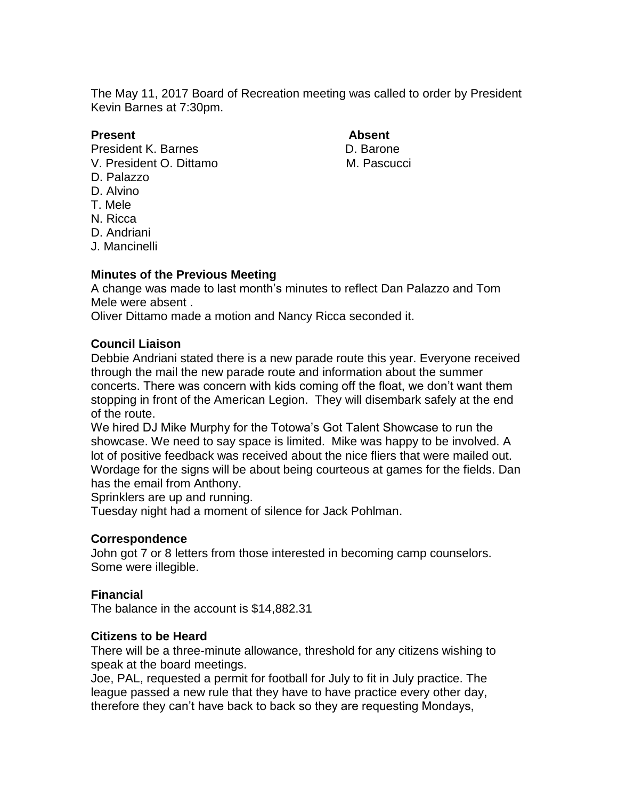The May 11, 2017 Board of Recreation meeting was called to order by President Kevin Barnes at 7:30pm.

## **Present Absent**

President K. Barnes **D. Barone** V. President O. Dittamo M. Pascucci

- D. Palazzo
- D. Alvino
- T. Mele
- N. Ricca
- D. Andriani
- J. Mancinelli

## **Minutes of the Previous Meeting**

A change was made to last month's minutes to reflect Dan Palazzo and Tom Mele were absent .

Oliver Dittamo made a motion and Nancy Ricca seconded it.

## **Council Liaison**

Debbie Andriani stated there is a new parade route this year. Everyone received through the mail the new parade route and information about the summer concerts. There was concern with kids coming off the float, we don't want them stopping in front of the American Legion. They will disembark safely at the end of the route.

We hired DJ Mike Murphy for the Totowa's Got Talent Showcase to run the showcase. We need to say space is limited. Mike was happy to be involved. A lot of positive feedback was received about the nice fliers that were mailed out. Wordage for the signs will be about being courteous at games for the fields. Dan has the email from Anthony.

Sprinklers are up and running.

Tuesday night had a moment of silence for Jack Pohlman.

## **Correspondence**

John got 7 or 8 letters from those interested in becoming camp counselors. Some were illegible.

## **Financial**

The balance in the account is \$14,882.31

## **Citizens to be Heard**

There will be a three-minute allowance, threshold for any citizens wishing to speak at the board meetings.

Joe, PAL, requested a permit for football for July to fit in July practice. The league passed a new rule that they have to have practice every other day, therefore they can't have back to back so they are requesting Mondays,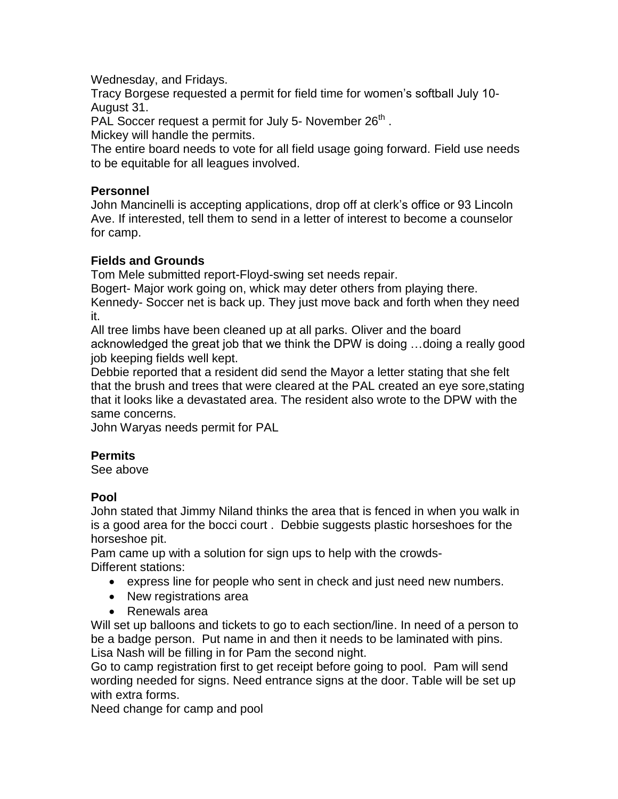Wednesday, and Fridays.

Tracy Borgese requested a permit for field time for women's softball July 10- August 31.

PAL Soccer request a permit for July 5- November  $26<sup>th</sup>$ .

Mickey will handle the permits.

The entire board needs to vote for all field usage going forward. Field use needs to be equitable for all leagues involved.

## **Personnel**

John Mancinelli is accepting applications, drop off at clerk's office or 93 Lincoln Ave. If interested, tell them to send in a letter of interest to become a counselor for camp.

# **Fields and Grounds**

Tom Mele submitted report-Floyd-swing set needs repair.

Bogert- Major work going on, whick may deter others from playing there. Kennedy- Soccer net is back up. They just move back and forth when they need it.

All tree limbs have been cleaned up at all parks. Oliver and the board acknowledged the great job that we think the DPW is doing …doing a really good job keeping fields well kept.

Debbie reported that a resident did send the Mayor a letter stating that she felt that the brush and trees that were cleared at the PAL created an eye sore,stating that it looks like a devastated area. The resident also wrote to the DPW with the same concerns.

John Waryas needs permit for PAL

# **Permits**

See above

# **Pool**

John stated that Jimmy Niland thinks the area that is fenced in when you walk in is a good area for the bocci court . Debbie suggests plastic horseshoes for the horseshoe pit.

Pam came up with a solution for sign ups to help with the crowds-Different stations:

- express line for people who sent in check and just need new numbers.
- New registrations area
- Renewals area

Will set up balloons and tickets to go to each section/line. In need of a person to be a badge person. Put name in and then it needs to be laminated with pins. Lisa Nash will be filling in for Pam the second night.

Go to camp registration first to get receipt before going to pool. Pam will send wording needed for signs. Need entrance signs at the door. Table will be set up with extra forms.

Need change for camp and pool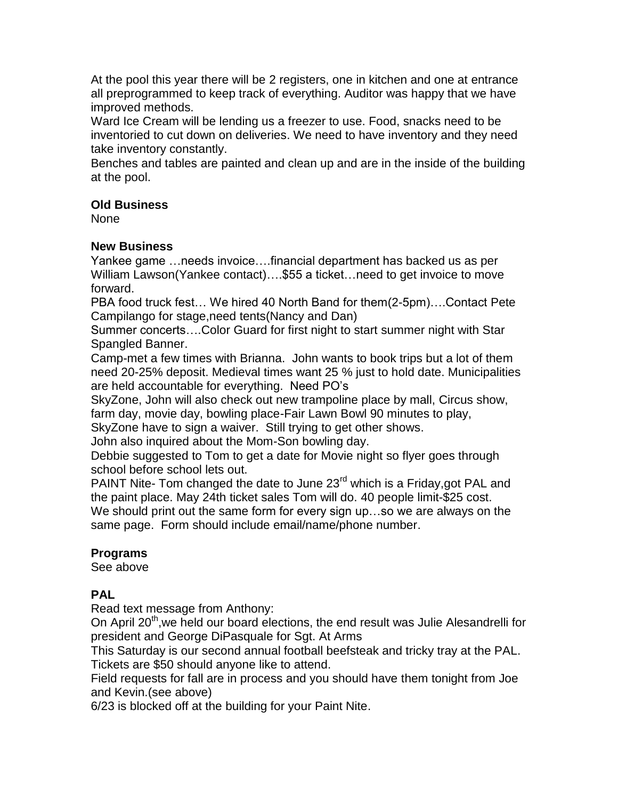At the pool this year there will be 2 registers, one in kitchen and one at entrance all preprogrammed to keep track of everything. Auditor was happy that we have improved methods.

Ward Ice Cream will be lending us a freezer to use. Food, snacks need to be inventoried to cut down on deliveries. We need to have inventory and they need take inventory constantly.

Benches and tables are painted and clean up and are in the inside of the building at the pool.

# **Old Business**

None

# **New Business**

Yankee game …needs invoice….financial department has backed us as per William Lawson(Yankee contact)….\$55 a ticket…need to get invoice to move forward.

PBA food truck fest… We hired 40 North Band for them(2-5pm)….Contact Pete Campilango for stage,need tents(Nancy and Dan)

Summer concerts….Color Guard for first night to start summer night with Star Spangled Banner.

Camp-met a few times with Brianna. John wants to book trips but a lot of them need 20-25% deposit. Medieval times want 25 % just to hold date. Municipalities are held accountable for everything. Need PO's

SkyZone, John will also check out new trampoline place by mall, Circus show, farm day, movie day, bowling place-Fair Lawn Bowl 90 minutes to play,

SkyZone have to sign a waiver. Still trying to get other shows.

John also inquired about the Mom-Son bowling day.

Debbie suggested to Tom to get a date for Movie night so flyer goes through school before school lets out.

PAINT Nite- Tom changed the date to June 23<sup>rd</sup> which is a Friday, got PAL and the paint place. May 24th ticket sales Tom will do. 40 people limit-\$25 cost. We should print out the same form for every sign up...so we are always on the same page. Form should include email/name/phone number.

# **Programs**

See above

# **PAL**

Read text message from Anthony:

On April 20<sup>th</sup>, we held our board elections, the end result was Julie Alesandrelli for president and George DiPasquale for Sgt. At Arms

This Saturday is our second annual football beefsteak and tricky tray at the PAL. Tickets are \$50 should anyone like to attend.

Field requests for fall are in process and you should have them tonight from Joe and Kevin.(see above)

6/23 is blocked off at the building for your Paint Nite.